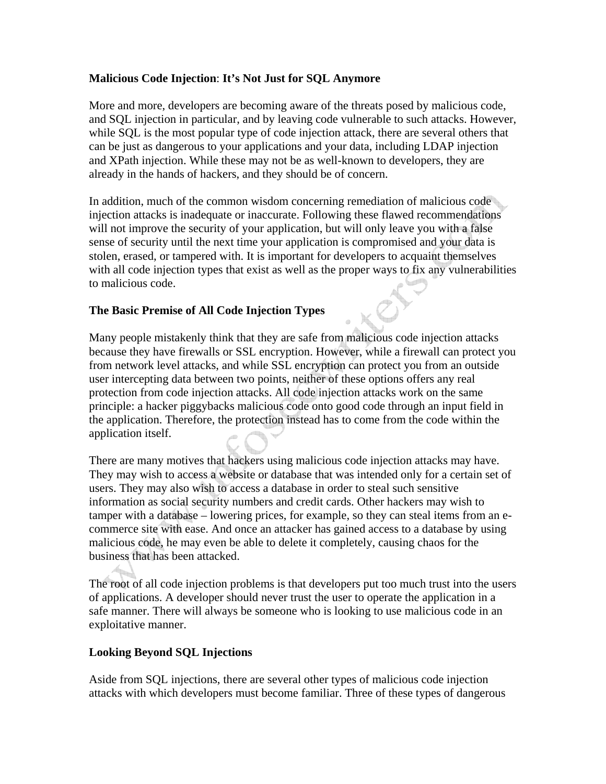## **Malicious Code Injection**: **It's Not Just for SQL Anymore**

More and more, developers are becoming aware of the threats posed by malicious code, and SQL injection in particular, and by leaving code vulnerable to such attacks. However, while SQL is the most popular type of code injection attack, there are several others that can be just as dangerous to your applications and your data, including LDAP injection and XPath injection. While these may not be as well-known to developers, they are already in the hands of hackers, and they should be of concern.

In addition, much of the common wisdom concerning remediation of malicious code injection attacks is inadequate or inaccurate. Following these flawed recommendations will not improve the security of your application, but will only leave you with a false sense of security until the next time your application is compromised and your data is stolen, erased, or tampered with. It is important for developers to acquaint themselves with all code injection types that exist as well as the proper ways to fix any vulnerabilities to malicious code.

## **The Basic Premise of All Code Injection Types**

Many people mistakenly think that they are safe from malicious code injection attacks because they have firewalls or SSL encryption. However, while a firewall can protect you from network level attacks, and while SSL encryption can protect you from an outside user intercepting data between two points, neither of these options offers any real protection from code injection attacks. All code injection attacks work on the same principle: a hacker piggybacks malicious code onto good code through an input field in the application. Therefore, the protection instead has to come from the code within the application itself.

There are many motives that hackers using malicious code injection attacks may have. They may wish to access a website or database that was intended only for a certain set of users. They may also wish to access a database in order to steal such sensitive information as social security numbers and credit cards. Other hackers may wish to tamper with a database – lowering prices, for example, so they can steal items from an ecommerce site with ease. And once an attacker has gained access to a database by using malicious code, he may even be able to delete it completely, causing chaos for the business that has been attacked.

The root of all code injection problems is that developers put too much trust into the users of applications. A developer should never trust the user to operate the application in a safe manner. There will always be someone who is looking to use malicious code in an exploitative manner.

### **Looking Beyond SQL Injections**

Aside from SQL injections, there are several other types of malicious code injection attacks with which developers must become familiar. Three of these types of dangerous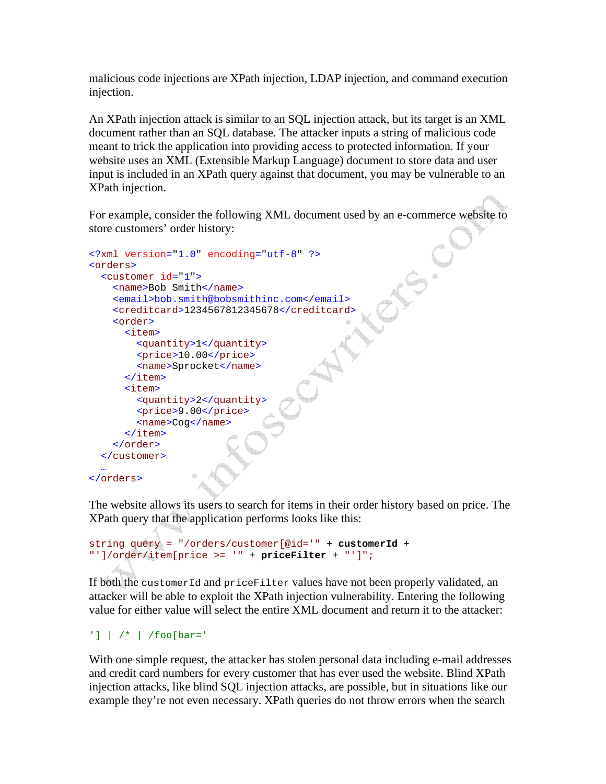malicious code injections are XPath injection, LDAP injection, and command execution injection.

An XPath injection attack is similar to an SQL injection attack, but its target is an XML document rather than an SQL database. The attacker inputs a string of malicious code meant to trick the application into providing access to protected information. If your website uses an XML (Extensible Markup Language) document to store data and user input is included in an XPath query against that document, you may be vulnerable to an XPath injection.

For example, consider the following XML document used by an e-commerce website to store customers' order history:

```
<?xml version="1.0" encoding="utf-8" ?> 
<orders> 
   <customer id="1"> 
     <name>Bob Smith</name> 
     <email>bob.smith@bobsmithinc.com</email> 
     <creditcard>1234567812345678</creditcard> 
     <order> 
       <item> 
         <quantity>1</quantity> 
          <price>10.00</price> 
          <name>Sprocket</name> 
      \langleitem\rangle <item> 
          <quantity>2</quantity> 
          <price>9.00</price> 
         <name>Cog</name> 
       </item> 
     </order> 
   </customer> 
 … 
</orders>
```
The website allows its users to search for items in their order history based on price. The XPath query that the application performs looks like this:

```
string query = "/orders/customer[@id='" + customerId + 
"']/order/item[price >= '" + priceFilter + "']";
```
If both the customerId and priceFilter values have not been properly validated, an attacker will be able to exploit the XPath injection vulnerability. Entering the following value for either value will select the entire XML document and return it to the attacker:

```
'] | /* | /foo[bar='
```
With one simple request, the attacker has stolen personal data including e-mail addresses and credit card numbers for every customer that has ever used the website. Blind XPath injection attacks, like blind SQL injection attacks, are possible, but in situations like our example they're not even necessary. XPath queries do not throw errors when the search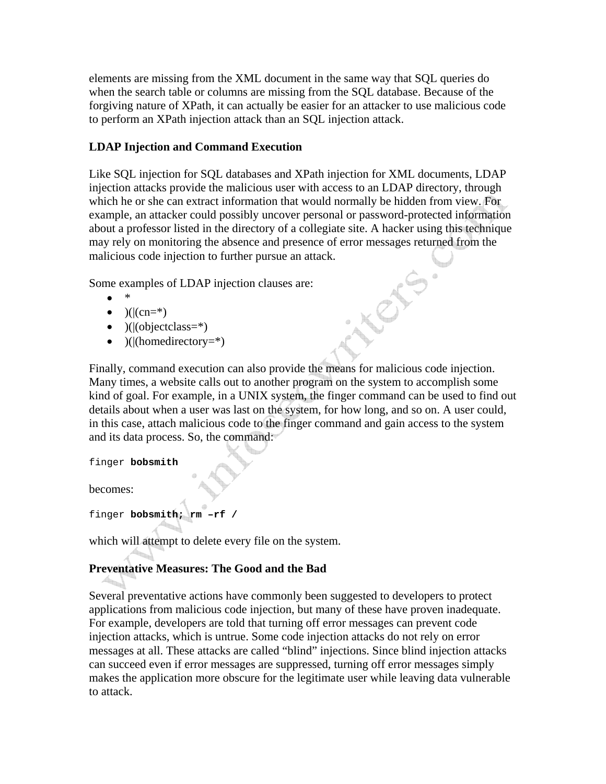elements are missing from the XML document in the same way that SQL queries do when the search table or columns are missing from the SQL database. Because of the forgiving nature of XPath, it can actually be easier for an attacker to use malicious code to perform an XPath injection attack than an SQL injection attack.

## **LDAP Injection and Command Execution**

Like SQL injection for SQL databases and XPath injection for XML documents, LDAP injection attacks provide the malicious user with access to an LDAP directory, through which he or she can extract information that would normally be hidden from view. For example, an attacker could possibly uncover personal or password-protected information about a professor listed in the directory of a collegiate site. A hacker using this technique may rely on monitoring the absence and presence of error messages returned from the malicious code injection to further pursue an attack.

Some examples of LDAP injection clauses are:

- \*
- $)(|cn=*)$
- $)(|(\text{objectclass}=\ast)|$
- $)(|(\text{homedirectory=*})$

Finally, command execution can also provide the means for malicious code injection. Many times, a website calls out to another program on the system to accomplish some kind of goal. For example, in a UNIX system, the finger command can be used to find out details about when a user was last on the system, for how long, and so on. A user could, in this case, attach malicious code to the finger command and gain access to the system and its data process. So, the command:

finger **bobsmith**

becomes:

finger **bobsmith; rm –rf /**

which will attempt to delete every file on the system.

# **Preventative Measures: The Good and the Bad**

Several preventative actions have commonly been suggested to developers to protect applications from malicious code injection, but many of these have proven inadequate. For example, developers are told that turning off error messages can prevent code injection attacks, which is untrue. Some code injection attacks do not rely on error messages at all. These attacks are called "blind" injections. Since blind injection attacks can succeed even if error messages are suppressed, turning off error messages simply makes the application more obscure for the legitimate user while leaving data vulnerable to attack.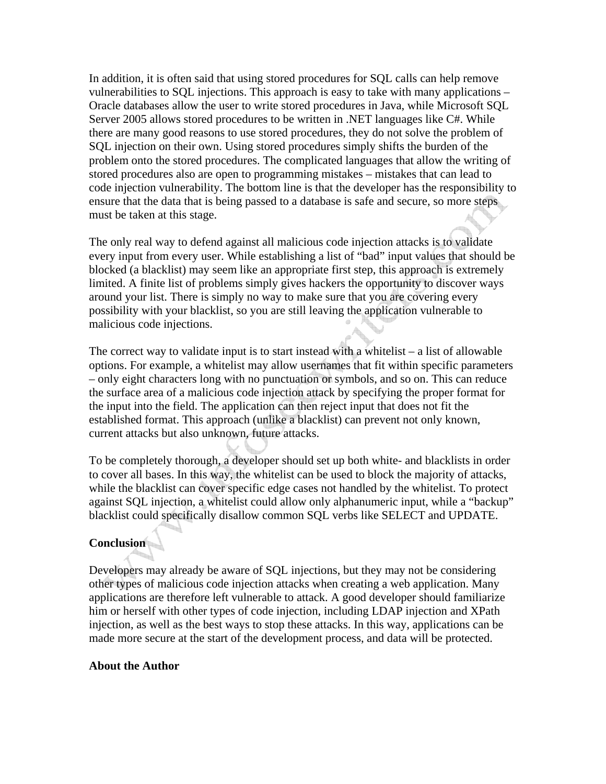In addition, it is often said that using stored procedures for SQL calls can help remove vulnerabilities to SQL injections. This approach is easy to take with many applications – Oracle databases allow the user to write stored procedures in Java, while Microsoft SQL Server 2005 allows stored procedures to be written in .NET languages like C#. While there are many good reasons to use stored procedures, they do not solve the problem of SQL injection on their own. Using stored procedures simply shifts the burden of the problem onto the stored procedures. The complicated languages that allow the writing of stored procedures also are open to programming mistakes – mistakes that can lead to code injection vulnerability. The bottom line is that the developer has the responsibility to ensure that the data that is being passed to a database is safe and secure, so more steps must be taken at this stage.

The only real way to defend against all malicious code injection attacks is to validate every input from every user. While establishing a list of "bad" input values that should be blocked (a blacklist) may seem like an appropriate first step, this approach is extremely limited. A finite list of problems simply gives hackers the opportunity to discover ways around your list. There is simply no way to make sure that you are covering every possibility with your blacklist, so you are still leaving the application vulnerable to malicious code injections.

The correct way to validate input is to start instead with a whitelist  $-$  a list of allowable options. For example, a whitelist may allow usernames that fit within specific parameters – only eight characters long with no punctuation or symbols, and so on. This can reduce the surface area of a malicious code injection attack by specifying the proper format for the input into the field. The application can then reject input that does not fit the established format. This approach (unlike a blacklist) can prevent not only known, current attacks but also unknown, future attacks.

To be completely thorough, a developer should set up both white- and blacklists in order to cover all bases. In this way, the whitelist can be used to block the majority of attacks, while the blacklist can cover specific edge cases not handled by the whitelist. To protect against SQL injection, a whitelist could allow only alphanumeric input, while a "backup" blacklist could specifically disallow common SQL verbs like SELECT and UPDATE.

# **Conclusion**

Developers may already be aware of SQL injections, but they may not be considering other types of malicious code injection attacks when creating a web application. Many applications are therefore left vulnerable to attack. A good developer should familiarize him or herself with other types of code injection, including LDAP injection and XPath injection, as well as the best ways to stop these attacks. In this way, applications can be made more secure at the start of the development process, and data will be protected.

#### **About the Author**